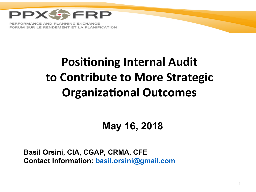

FORMANCE AND PLANNING EXCHANGE FORUM SUR LE RENDEMENT ET LA PLANIFICATION

### **Positioning Internal Audit** to Contribute to More Strategic **Organizational Outcomes**

#### May 16, 2018

Basil Orsini, CIA, CGAP, CRMA, CFE Contact Information: basil.orsini@gmail.com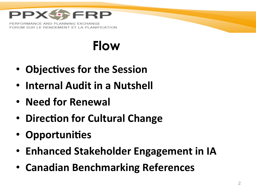

ORMANCE AND PLANNING EXCHANGE FORUM SUR LE RENDEMENT ET LA PLANIFICATION

### **Flow**

- Objectives for the Session
- Internal Audit in a Nutshell
- Need for Renewal
- Direction for Cultural Change
- Opportunities
- Enhanced Stakeholder Engagement in IA
- Canadian Benchmarking References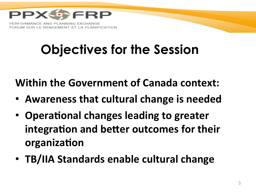

# **Objectives for the Session**

**Within the Government of Canada context:** 

- Awareness that cultural change is needed
- Operational changes leading to greater integration and better outcomes for their **organization**
- TB/IIA Standards enable cultural change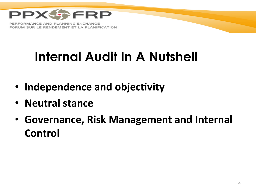

# **Internal Audit In A Nutshell**

- **Independence and objectivity**
- **Neutral stance**
- Governance, Risk Management and Internal **Control**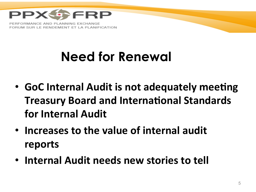

RMANCE AND PL IM SUR LE RENDEMENT ET LA PLANIFICATION

### **Need for Renewal**

- GoC Internal Audit is not adequately meeting **Treasury Board and International Standards for Internal Audit**
- Increases to the value of internal audit **reports**
- **Internal Audit needs new stories to tell**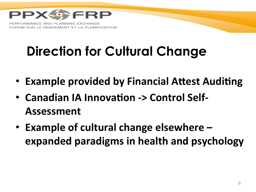

# **Direction for Cultural Change**

- Example provided by Financial Attest Auditing
- Canadian IA Innovation -> Control Self-**Assessment**
- Example of cultural change elsewhere **expanded paradigms in health and psychology**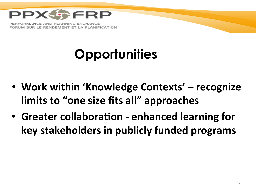

ORMANCE AND PLANNING EXCHANGE FORUM SUR LE RENDEMENT ET LA PLANIFICATION

# **Opportunities**

- Work within 'Knowledge Contexts' recognize **limits to "one size fits all" approaches**
- Greater collaboration enhanced learning for **key stakeholders in publicly funded programs**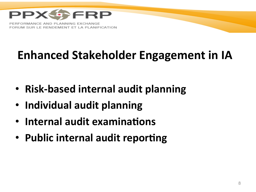

### **Enhanced Stakeholder Engagement in IA**

- **Risk-based internal audit planning**
- **Individual audit planning**
- **Internal audit examinations**
- Public internal audit reporting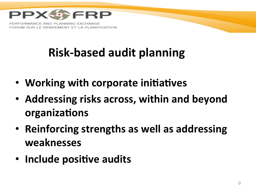

### **Risk-based audit planning**

- Working with corporate initiatives
- Addressing risks across, within and beyond **organizations**
- Reinforcing strengths as well as addressing **weaknesses**
- **Include positive audits**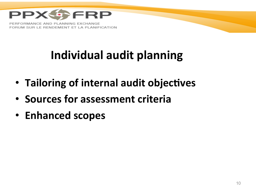

### **Individual audit planning**

- Tailoring of internal audit objectives
- **Sources for assessment criteria**
- **Enhanced scopes**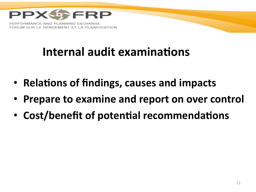

#### **Internal audit examinations**

- **Relations of findings, causes and impacts**
- Prepare to examine and report on over control
- Cost/benefit of potential recommendations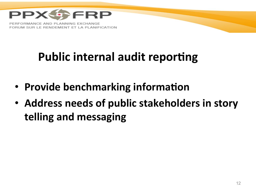

### **Public internal audit reporting**

- **Provide benchmarking information**
- Address needs of public stakeholders in story **telling and messaging**